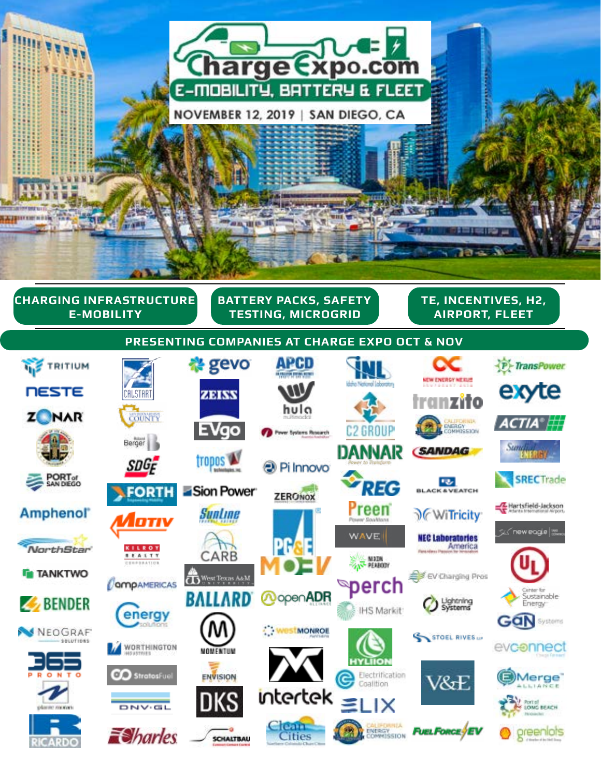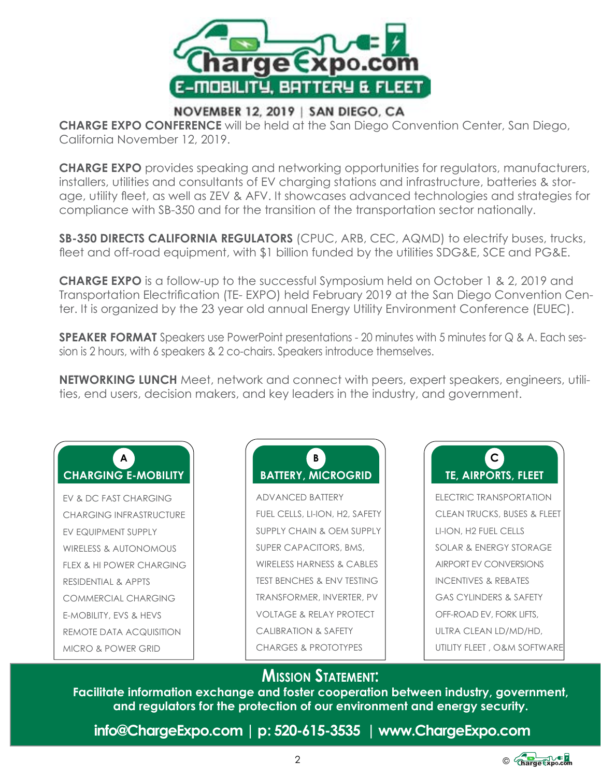

## NOVEMBER 12, 2019 | SAN DIEGO, CA

**CHARGE EXPO CONFERENCE** will be held at the San Diego Convention Center, San Diego, California November 12, 2019.

**CHARGE EXPO** provides speaking and networking opportunities for regulators, manufacturers, installers, utilities and consultants of EV charging stations and infrastructure, batteries & storage, utility fleet, as well as ZEV & AFV. It showcases advanced technologies and strategies for compliance with SB-350 and for the transition of the transportation sector nationally.

**SB-350 DIRECTS CALIFORNIA REGULATORS** (CPUC, ARB, CEC, AQMD) to electrify buses, trucks, fleet and off-road equipment, with \$1 billion funded by the utilities SDG&E, SCE and PG&E.

**CHARGE EXPO** is a follow-up to the successful Symposium held on October 1 & 2, 2019 and Transportation Electrification (TE- EXPO) held February 2019 at the San Diego Convention Center. It is organized by the 23 year old annual Energy Utility Environment Conference (EUEC).

**SPEAKER FORMAT** Speakers use PowerPoint presentations - 20 minutes with 5 minutes for Q & A. Each session is 2 hours, with 6 speakers & 2 co-chairs. Speakers introduce themselves.

**NETWORKING LUNCH** Meet, network and connect with peers, expert speakers, engineers, utilities, end users, decision makers, and key leaders in the industry, and government.

## **A CHARGING E-MOBILITY**

EV & DC FAST CHARGING CHARGING INFRASTRUCTURE EV EQUIPMENT SUPPLY WIRELESS & AUTONOMOUS FLEX & HI POWER CHARGING RESIDENTIAL & APPTS COMMERCIAL CHARGING E-MOBILITY, EVS & HEVS REMOTE DATA ACQUISITION MICRO & POWER GRID

## **B BATTERY, MICROGRID**

ADVANCED BATTERY FUEL CELLS, LI-ION, H2, SAFETY SUPPLY CHAIN & OEM SUPPLY SUPER CAPACITORS, BMS, WIRELESS HARNESS & CABLES TEST BENCHES & ENV TESTING TRANSFORMER, INVERTER, PV VOLTAGE & RELAY PROTECT CALIBRATION & SAFETY CHARGES & PROTOTYPES



ELECTRIC TRANSPORTATION CLEAN TRUCKS, BUSES & FLEET LI-ION, H2 FUEL CELLS SOLAR & ENERGY STORAGE AIRPORT EV CONVERSIONS INCENTIVES & REBATES GAS CYLINDERS & SAFETY OFF-ROAD EV, FORK LIFTS, ULTRA CLEAN LD/MD/HD, UTILITY FLEET , O&M SOFTWARE

## **MISSION STATEMENT:**

**Facilitate information exchange and foster cooperation between industry, government, and regulators for the protection of our environment and energy security.**

 **info@ChargeExpo.com | p : 520-615-3535 | www.ChargeExpo.com** 

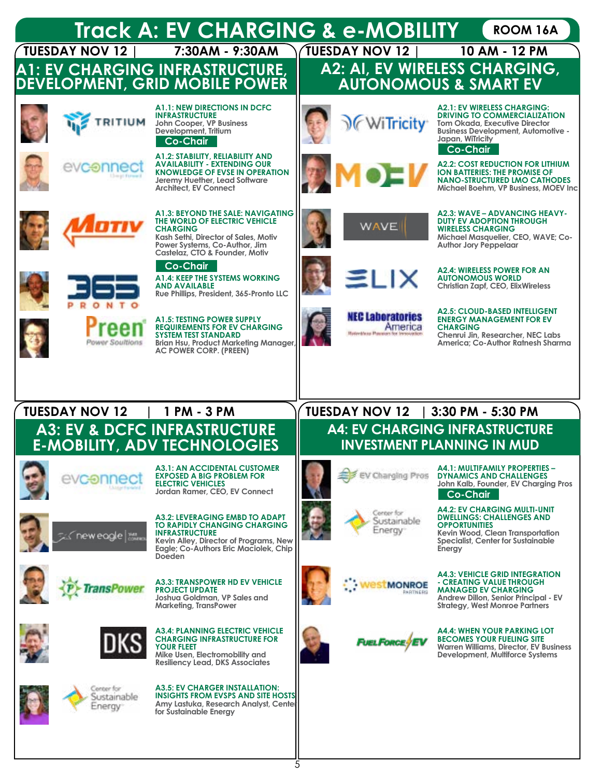

5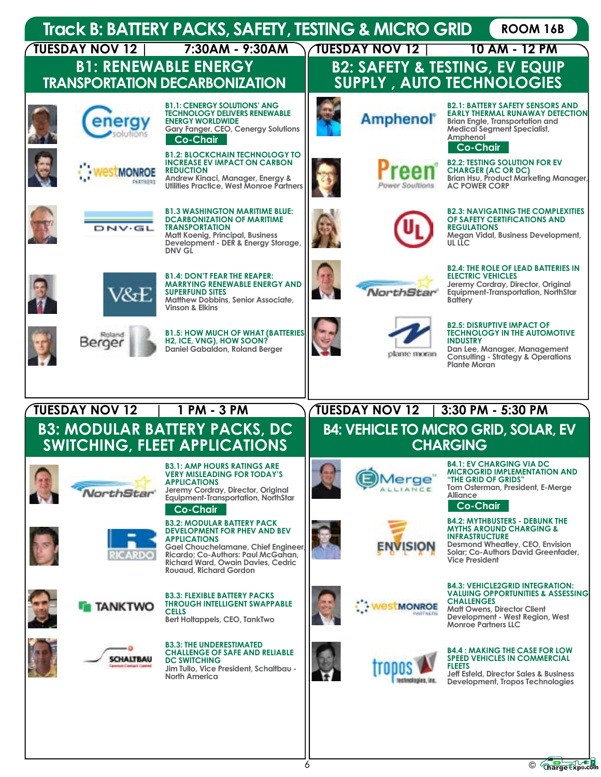